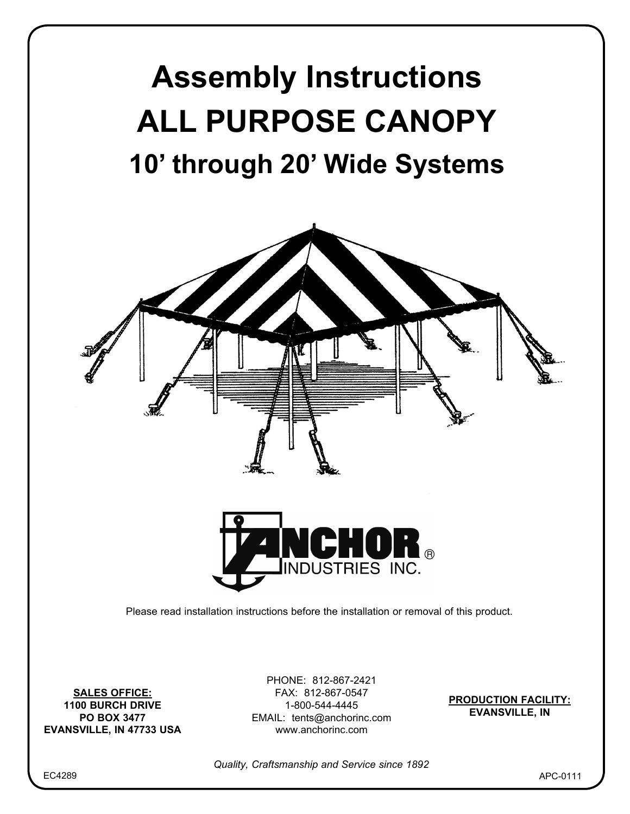



**SALES OFFICE: 1100 BURCH DRIVE PO BOX 3477 EVANSVILLE, IN 47733 USA**

PHONE: 812-867-2421 FAX: 812-867-0547 1-800-544-4445 EMAIL: tents@anchorinc.com www.anchorinc.com

**PRODUCTION FACILITY: EVANSVILLE, IN**

*Quality, Craftsmanship and Service since 1892*

EC4289

APC-0111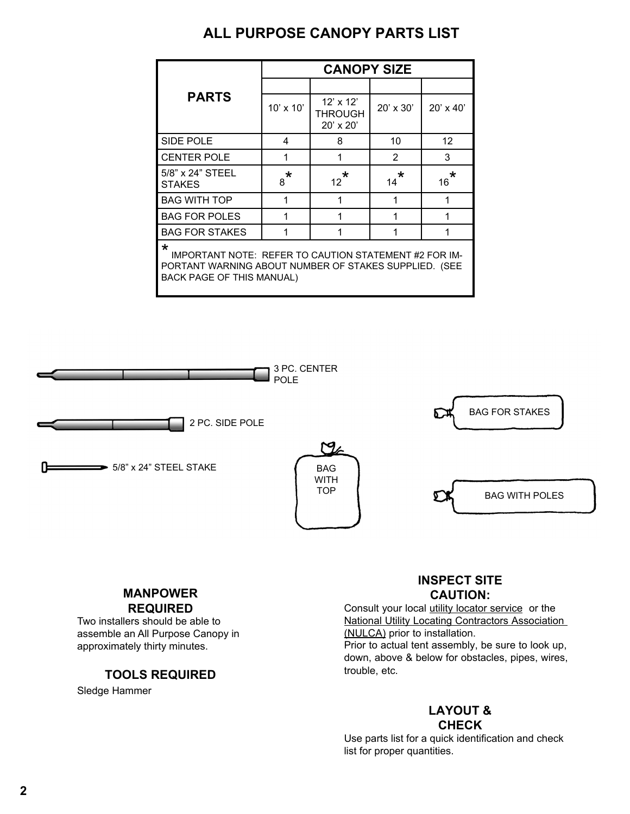# **ALL PURPOSE CANOPY PARTS LIST**

|                                                                                                                                                                      | <b>CANOPY SIZE</b> |                                                 |                |                   |
|----------------------------------------------------------------------------------------------------------------------------------------------------------------------|--------------------|-------------------------------------------------|----------------|-------------------|
|                                                                                                                                                                      |                    |                                                 |                |                   |
| <b>PARTS</b>                                                                                                                                                         | 10' x 10'          | $12' \times 12'$<br>THROUGH<br>$20' \times 20'$ | 20' x 30'      | 20' x 40'         |
| SIDE POLE                                                                                                                                                            | 4                  | 8                                               | 10             | $12 \overline{ }$ |
| <b>CENTER POLE</b>                                                                                                                                                   | 1                  | 1                                               | $\overline{2}$ | 3                 |
| 5/8" x 24" STEEL<br><b>STAKES</b>                                                                                                                                    | $\star$<br>8       | *<br>$12 \overline{ }$                          | $\star$<br>14  | *<br>16           |
| <b>BAG WITH TOP</b>                                                                                                                                                  | 1                  |                                                 | 1              | 1                 |
| <b>BAG FOR POLES</b>                                                                                                                                                 | 1                  |                                                 | 1              |                   |
| <b>BAG FOR STAKES</b>                                                                                                                                                | 1                  |                                                 | 1              | 1                 |
| $\star$<br><b>IMPORTANT NOTE: REFER TO CAUTION STATEMENT #2 FOR IM-</b><br>PORTANT WARNING ABOUT NUMBER OF STAKES SUPPLIED. (SEE<br><b>BACK PAGE OF THIS MANUAL)</b> |                    |                                                 |                |                   |



#### **MANPOWER REQUIRED**

Two installers should be able to assemble an All Purpose Canopy in approximately thirty minutes.

## **TOOLS REQUIRED**

Sledge Hammer

### **INSPECT SITE CAUTION:**

Consult your local utility locator service or the National Utility Locating Contractors Association (NULCA) prior to installation. Prior to actual tent assembly, be sure to look up, down, above & below for obstacles, pipes, wires, trouble, etc.

### **LAYOUT & CHECK**

Use parts list for a quick identification and check list for proper quantities.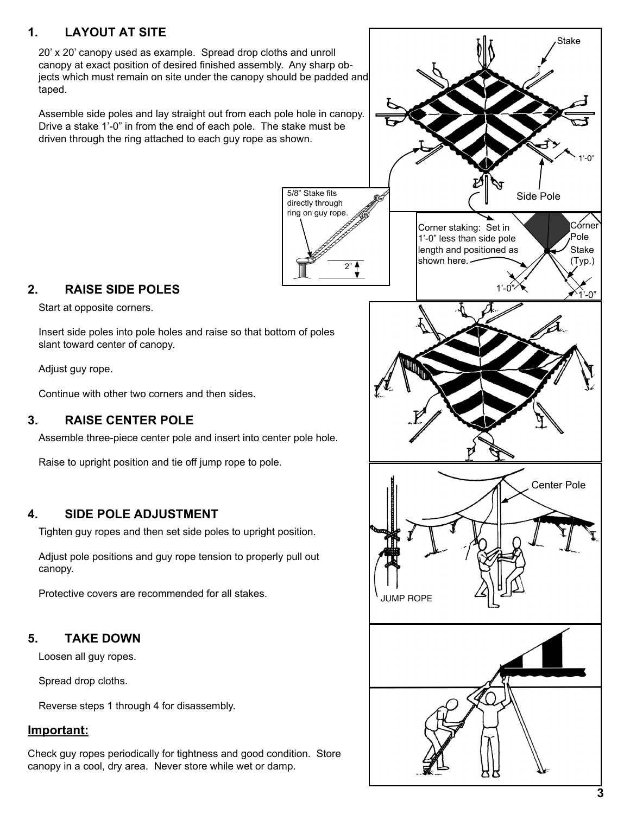## **1. LAYOUT AT SITE**

20' x 20' canopy used as example. Spread drop cloths and unroll canopy at exact position of desired finished assembly. Any sharp objects which must remain on site under the canopy should be padded and taped.

Assemble side poles and lay straight out from each pole hole in canopy. Drive a stake 1'-0" in from the end of each pole. The stake must be driven through the ring attached to each guy rope as shown.



## **2. RAISE SIDE POLES**

Start at opposite corners.

Insert side poles into pole holes and raise so that bottom of poles slant toward center of canopy.

Adjust guy rope.

Continue with other two corners and then sides.

#### **3. RAISE CENTER POLE**

Assemble three-piece center pole and insert into center pole hole.

Raise to upright position and tie off jump rope to pole.

#### **4. SIDE POLE ADJUSTMENT**

Tighten guy ropes and then set side poles to upright position.

Adjust pole positions and guy rope tension to properly pull out canopy.

Protective covers are recommended for all stakes.

#### **5. TAKE DOWN**

Loosen all guy ropes.

Spread drop cloths.

Reverse steps 1 through 4 for disassembly.

#### **Important:**

Check guy ropes periodically for tightness and good condition. Store canopy in a cool, dry area. Never store while wet or damp.